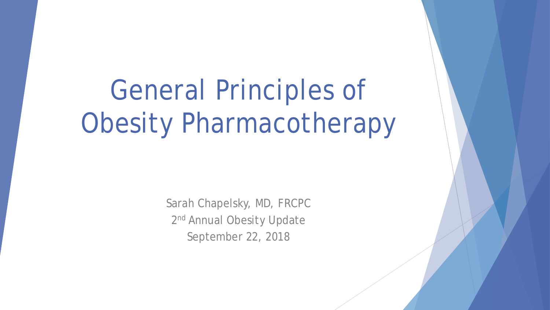# General Principles of Obesity Pharmacotherapy

Sarah Chapelsky, MD, FRCPC 2<sup>nd</sup> Annual Obesity Update September 22, 2018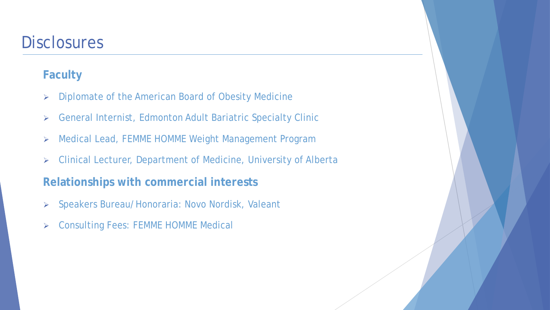### **Disclosures**

#### **Faculty**

- **EXED EXEDERGH POILS A SET AMERICAN BOARD OF OBESITY Medicine**
- General Internist, Edmonton Adult Bariatric Specialty Clinic
- Medical Lead, FEMME HOMME Weight Management Program
- Clinical Lecturer, Department of Medicine, University of Alberta

#### **Relationships with commercial interests**

- Speakers Bureau/Honoraria: Novo Nordisk, Valeant
- Consulting Fees: FEMME HOMME Medical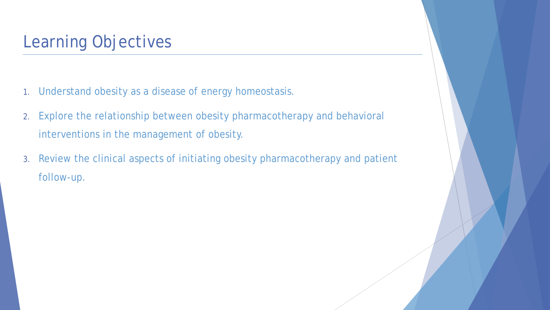## Learning Objectives

- 1. Understand obesity as a disease of energy homeostasis.
- 2. Explore the relationship between obesity pharmacotherapy and behavioral interventions in the management of obesity.
- 3. Review the clinical aspects of initiating obesity pharmacotherapy and patient follow-up.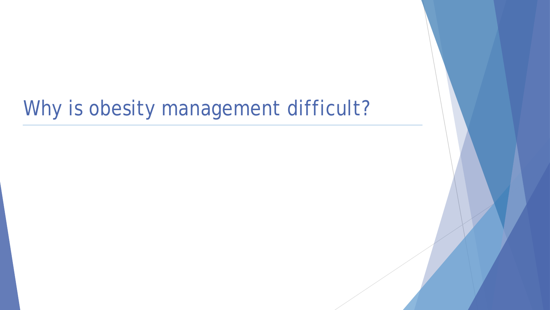## Why is obesity management difficult?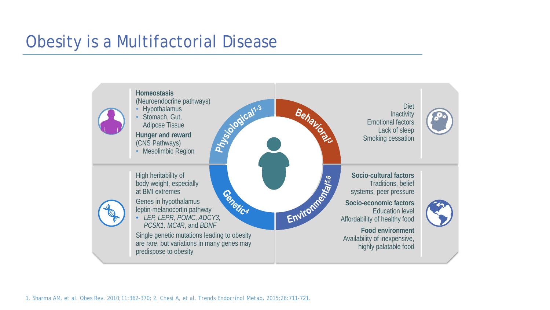## Obesity is a Multifactorial Disease

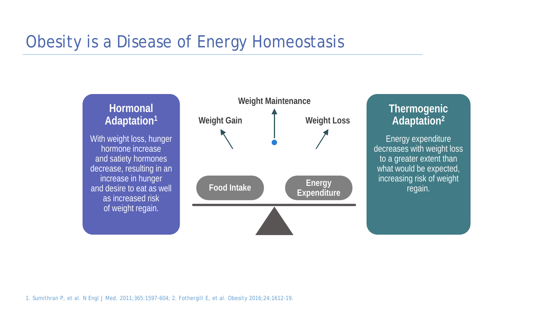## Obesity is a Disease of Energy Homeostasis



1. Sumithran P, et al. *N Engl J Med*. 2011;365:1597-604; 2. Fothergill E, et al. *Obesity* 2016;24:1612-19.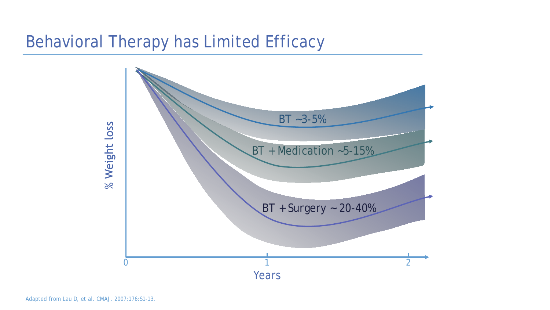## Behavioral Therapy has Limited Efficacy

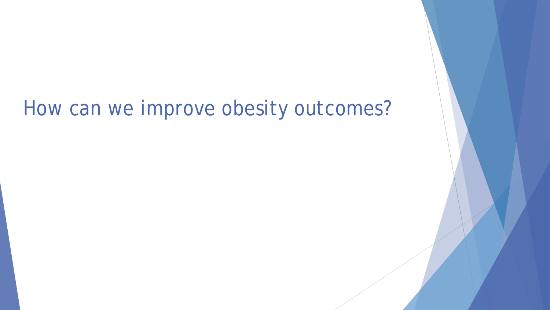## How can we improve obesity outcomes?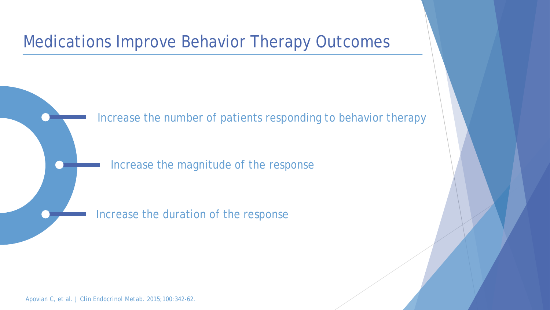## Medications Improve Behavior Therapy Outcomes

Increase the number of patients responding to behavior therapy

Increase the magnitude of the response

Increase the duration of the response

Apovian C, et al. *J Clin Endocrinol Metab.* 2015;100:342-62.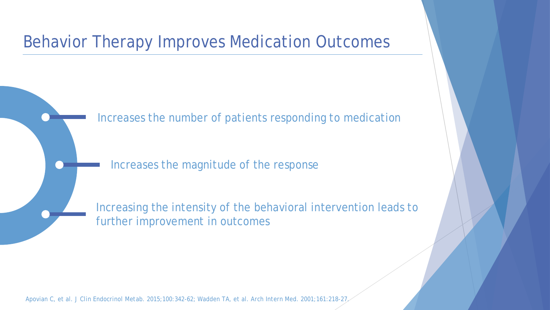## Behavior Therapy Improves Medication Outcomes

Increases the number of patients responding to medication

Increases the magnitude of the response

Increasing the intensity of the behavioral intervention leads to further improvement in outcomes

Apovian C, et al. *J Clin Endocrinol Metab.* 2015;100:342-62; Wadden TA, et al. *Arch Intern Med.* 2001;161:218-27.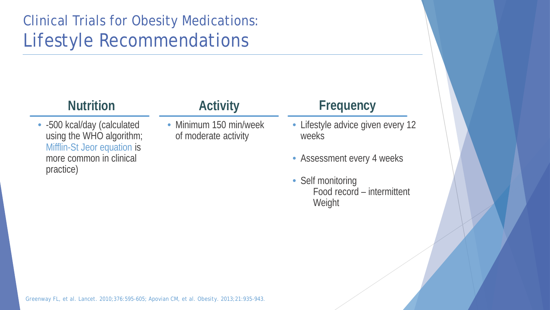## Clinical Trials for Obesity Medications: Lifestyle Recommendations

#### **Nutrition**

• -500 kcal/day (calculated using the WHO algorithm; Mifflin-St Jeor equation is more common in clinical practice)

### **Activity**

• Minimum 150 min/week of moderate activity

#### **Frequency**

- Lifestyle advice given every 12 weeks
- Assessment every 4 weeks
- Self monitoring Food record – intermittent **Weight**

Greenway FL, et al. *Lancet*. 2010;376:595-605; Apovian CM, et al. *Obesity*. 2013;21:935-943.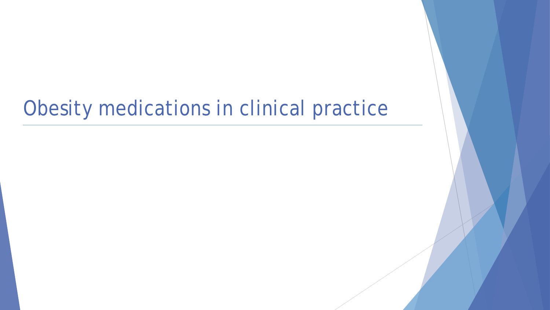## Obesity medications in clinical practice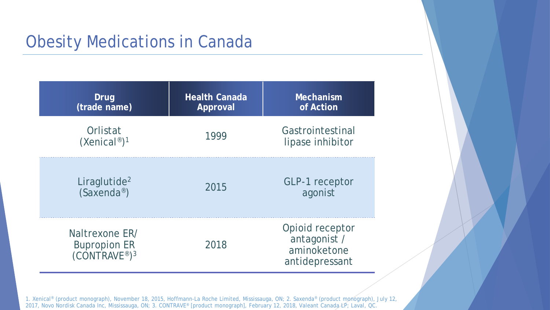## Obesity Medications in Canada

| Drug<br>(trade name)                                                           | <b>Health Canada</b><br>Approval | Mechanism<br>of Action                                           |
|--------------------------------------------------------------------------------|----------------------------------|------------------------------------------------------------------|
| Orlistat<br>$(Xenical^{\circ})^1$                                              | 1999                             | Gastrointestinal<br>lipase inhibitor                             |
| Liraglutide <sup>2</sup><br>$(Saxenda^{\circledR})$                            | 2015                             | <b>GLP-1</b> receptor<br>agonist                                 |
| Naltrexone ER/<br><b>Bupropion ER</b><br>(CONTRAVE <sup>®</sup> ) <sup>3</sup> | 2018                             | Opioid receptor<br>antagonist /<br>aminoketone<br>antidepressant |

1. Xenical® (product monograph), November 18, 2015, Hoffmann-La Roche Limited, Mississauga, ON; 2. Saxenda® (product monograph), July 12, 2017, Novo Nordisk Canada Inc, Mississauga, ON; 3. CONTRAVE® [product monograph], February 12, 2018, Valeant Canada LP; Laval, QC.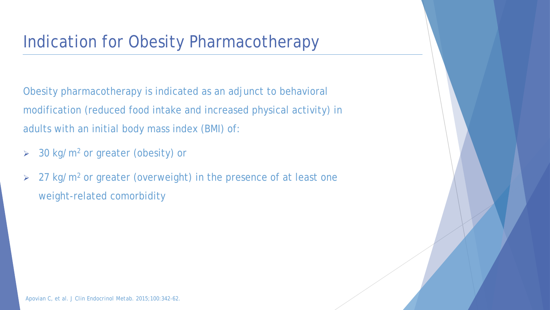## Indication for Obesity Pharmacotherapy

Obesity pharmacotherapy is indicated as an adjunct to behavioral modification (reduced food intake and increased physical activity) in adults with an initial body mass index (BMI) of:

- $>$  30 kg/m<sup>2</sup> or greater (obesity) or
- $\geq$  27 kg/m<sup>2</sup> or greater (overweight) in the presence of at least one weight-related comorbidity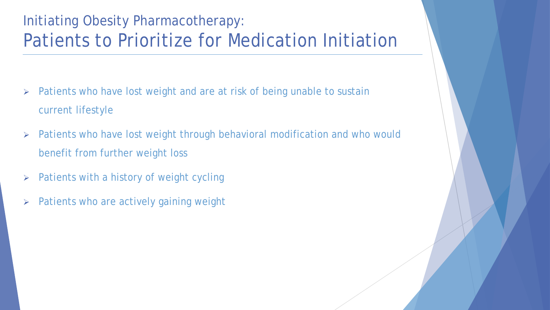## Initiating Obesity Pharmacotherapy: Patients to Prioritize for Medication Initiation

- $\triangleright$  Patients who have lost weight and are at risk of being unable to sustain current lifestyle
- Patients who have lost weight through behavioral modification and who would benefit from further weight loss
- $\triangleright$  Patients with a history of weight cycling
- $\triangleright$  Patients who are actively gaining weight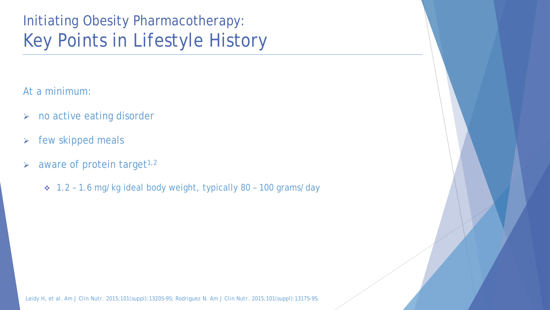## Initiating Obesity Pharmacotherapy: Key Points in Lifestyle History

At a minimum:

- > no active eating disorder
- $\triangleright$  few skipped meals
- $\triangleright$  aware of protein target<sup>1,2</sup>
	- 1.2 1.6 mg/kg ideal body weight, typically 80 100 grams/day

Leidy H, et al. *Am J Clin Nutr.* 2015;101(suppl):1320S–9S; Rodriguez N. *Am J Clin Nutr.* 2015;101(suppl):1317S-9S.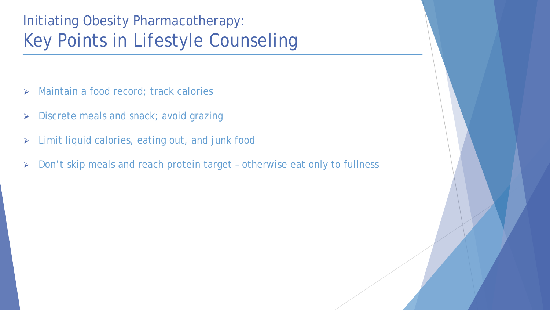## Initiating Obesity Pharmacotherapy: Key Points in Lifestyle Counseling

- > Maintain a food record; track calories
- **Discrete meals and snack; avoid grazing**
- Limit liquid calories, eating out, and junk food
- ▶ Don't skip meals and reach protein target otherwise eat only to fullness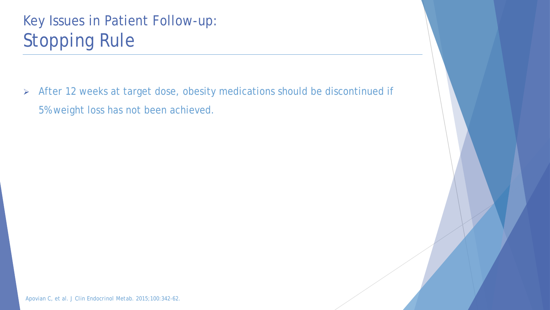## Key Issues in Patient Follow-up: Stopping Rule

 After 12 weeks at target dose, obesity medications should be discontinued if 5% weight loss has not been achieved.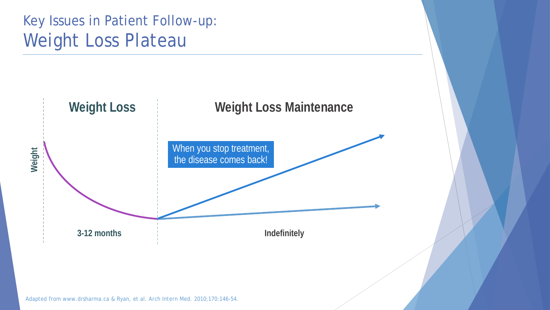## Key Issues in Patient Follow-up: Weight Loss Plateau



Adapted from www.drsharma.ca & Ryan, et al. *Arch Intern Med.* 2010;170:146-54.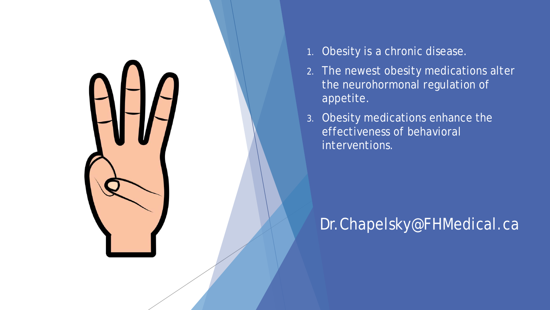

- 1. Obesity is a chronic disease.
- 2. The newest obesity medications alter the neurohormonal regulation of appetite.
- 3. Obesity medications enhance the effectiveness of behavioral interventions.

## Dr.Chapelsky@FHMedical.ca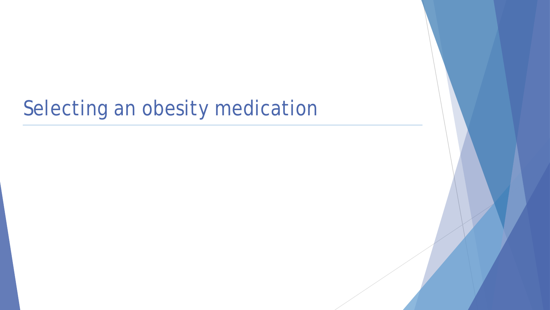## Selecting an obesity medication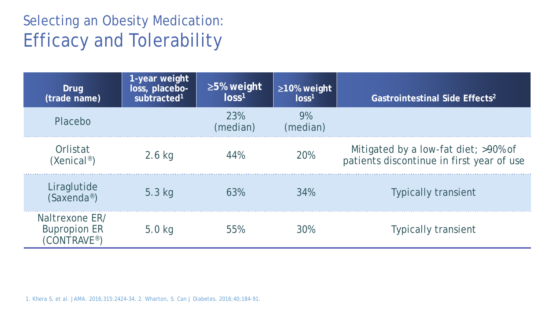## Selecting an Obesity Medication: Efficacy and Tolerability

| Drug<br>(trade name)                                 | 1-year weight<br>loss, placebo-<br>subtracted <sup>1</sup> | $\geq$ 5% weight<br>$\log s^1$ | $\geq$ 10% weight<br>$\log s^1$ | Gastrointestinal Side Effects <sup>2</sup>                                        |
|------------------------------------------------------|------------------------------------------------------------|--------------------------------|---------------------------------|-----------------------------------------------------------------------------------|
| Placebo                                              |                                                            | 23%<br>(median)                | 9%<br>(median)                  |                                                                                   |
| Orlistat<br>$(Xenical^{\circ})$                      | $2.6$ kg                                                   | 44%                            | <b>20%</b>                      | Mitigated by a low-fat diet; >90% of<br>patients discontinue in first year of use |
| Liraglutide<br>$(Saxenda^{\circ})$                   | $5.3$ kg                                                   | 63%                            | 34%                             | <b>Typically transient</b>                                                        |
| Naltrexone ER/<br><b>Bupropion ER</b><br>(CONTRAVE®) | $5.0$ kg                                                   | 55%                            | 30%                             | <b>Typically transient</b>                                                        |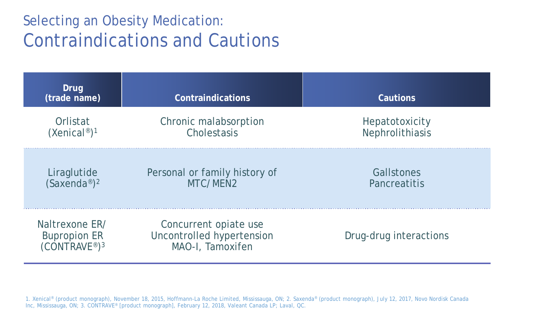## Selecting an Obesity Medication: Contraindications and Cautions

| Drug<br>(trade name)                                                           | Contraindications                                                      | Cautions               |
|--------------------------------------------------------------------------------|------------------------------------------------------------------------|------------------------|
| Orlistat                                                                       | Chronic malabsorption                                                  | Hepatotoxicity         |
| (Xenical <sup>®</sup> ) <sup>1</sup>                                           | Cholestasis                                                            | Nephrolithiasis        |
| Liraglutide                                                                    | Personal or family history of                                          | Gallstones             |
| (Saxenda <sup>®</sup> ) <sup>2</sup>                                           | MTC/MEN2                                                               | Pancreatitis           |
| Naltrexone ER/<br><b>Bupropion ER</b><br>(CONTRAVE <sup>®</sup> ) <sup>3</sup> | Concurrent opiate use<br>Uncontrolled hypertension<br>MAO-I, Tamoxifen | Drug-drug interactions |

1. Xenical® (product monograph), November 18, 2015, Hoffmann-La Roche Limited, Mississauga, ON; 2. Saxenda® (product monograph), July 12, 2017, Novo Nordisk Canada Inc, Mississauga, ON; 3. CONTRAVE® [product monograph], February 12, 2018, Valeant Canada LP; Laval, QC.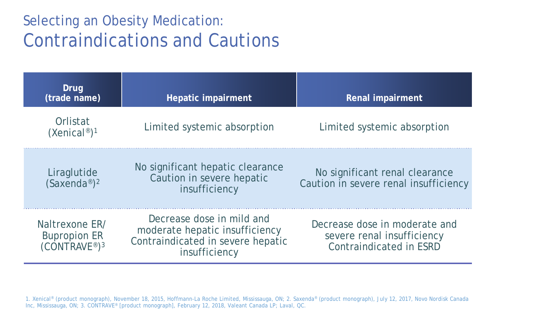## Selecting an Obesity Medication: Contraindications and Cautions

| Drug<br>(trade name)                                              | Hepatic impairment                                                                                                | Renal impairment                                                                              |
|-------------------------------------------------------------------|-------------------------------------------------------------------------------------------------------------------|-----------------------------------------------------------------------------------------------|
| Orlistat<br>(Xenical <sup>®</sup> ) <sup>1</sup>                  | Limited systemic absorption                                                                                       | Limited systemic absorption                                                                   |
| Liraglutide<br>$(Saxenda^{\circ})^2$                              | No significant hepatic clearance<br>Caution in severe hepatic<br>insufficiency                                    | No significant renal clearance<br>Caution in severe renal insufficiency                       |
| Naltrexone ER/<br><b>Bupropion ER</b><br>(CONTRAVE®) <sup>3</sup> | Decrease dose in mild and<br>moderate hepatic insufficiency<br>Contraindicated in severe hepatic<br>insufficiency | Decrease dose in moderate and<br>severe renal insufficiency<br><b>Contraindicated in ESRD</b> |

1. Xenical® (product monograph), November 18, 2015, Hoffmann-La Roche Limited, Mississauga, ON; 2. Saxenda® (product monograph), July 12, 2017, Novo Nordisk Canada Inc, Mississauga, ON; 3. CONTRAVE® [product monograph], February 12, 2018, Valeant Canada LP; Laval, QC.